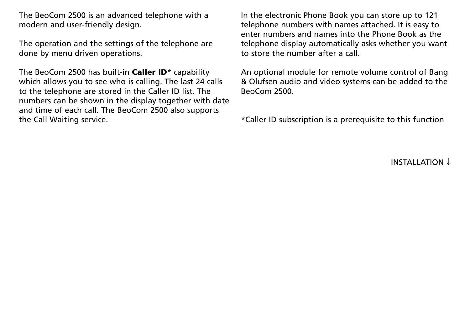The BeoCom 2500 is an advanced telephone with a modern and user-friendly design.

The operation and the settings of the telephone are done by menu driven operations.

The BeoCom 2500 has built-in **Caller ID**\* capability which allows you to see who is calling. The last 24 calls to the telephone are stored in the Caller ID list. The numbers can be shown in the display together with date and time of each call. The BeoCom 2500 also supports the Call Waiting service.

In the electronic Phone Book you can store up to 121 telephone numbers with names attached. It is easy to enter numbers and names into the Phone Book as the telephone display automatically asks whether you want to store the number after a call.

An optional module for remote volume control of Bang & Olufsen audio and video systems can be added to the BeoCom 2500.

\*Caller ID subscription is a prerequisite to this function

INSTALLATION ↓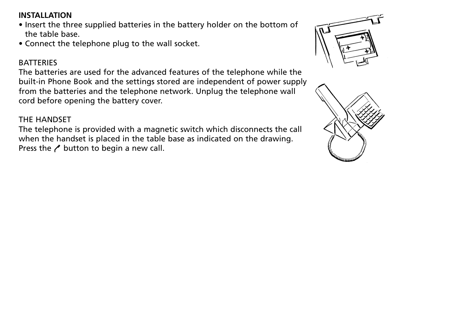# **INSTALLATION**

- Insert the three supplied batteries in the battery holder on the bottom of the table base.
- Connect the telephone plug to the wall socket.

# **BATTERIES**

The batteries are used for the advanced features of the telephone while the built-in Phone Book and the settings stored are independent of power supply from the batteries and the telephone network. Unplug the telephone wall cord before opening the battery cover.

# THE HANDSET

The telephone is provided with a magnetic switch which disconnects the call when the handset is placed in the table base as indicated on the drawing. Press the  $\prime$  button to begin a new call.



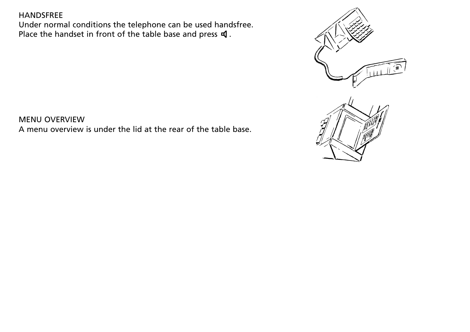#### HANDSFREE

Under normal conditions the telephone can be used handsfree. Place the handset in front of the table base and press  $\mathbf \mathbf 4$ .



MENU OVERVIEW A menu overview is under the lid at the rear of the table base.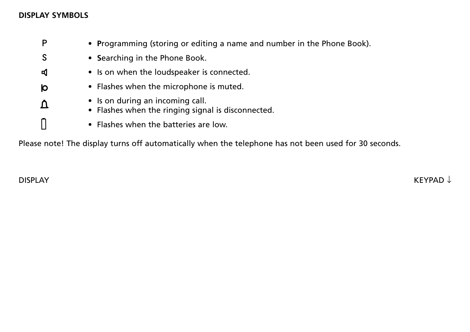## **DISPLAY SYMBOLS**

|   | • Programming (storing or editing a name and number in the Phone Book).                |
|---|----------------------------------------------------------------------------------------|
|   | • Searching in the Phone Book.                                                         |
| Ю | • Is on when the loudspeaker is connected.                                             |
| Ю | • Flashes when the microphone is muted.                                                |
|   | • Is on during an incoming call.<br>• Flashes when the ringing signal is disconnected. |
|   | • Flashes when the batteries are low.                                                  |

Please note! The display turns off automatically when the telephone has not been used for 30 seconds.

 $\blacksquare$ DISPLAY KEYPAD ↓  $\blacksquare$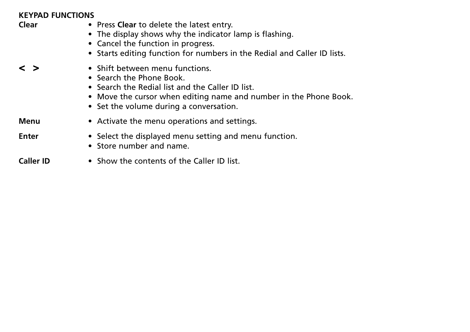## **KEYPAD FUNCTIONS**

| Clear             | • Press Clear to delete the latest entry.<br>• The display shows why the indicator lamp is flashing.<br>• Cancel the function in progress.<br>• Starts editing function for numbers in the Redial and Caller ID lists.          |
|-------------------|---------------------------------------------------------------------------------------------------------------------------------------------------------------------------------------------------------------------------------|
| $\langle \rangle$ | • Shift between menu functions.<br>• Search the Phone Book.<br>• Search the Redial list and the Caller ID list.<br>• Move the cursor when editing name and number in the Phone Book.<br>• Set the volume during a conversation. |
| Menu              | • Activate the menu operations and settings.                                                                                                                                                                                    |
| Enter             | • Select the displayed menu setting and menu function.<br>• Store number and name.                                                                                                                                              |
| <b>Caller ID</b>  | • Show the contents of the Caller ID list.                                                                                                                                                                                      |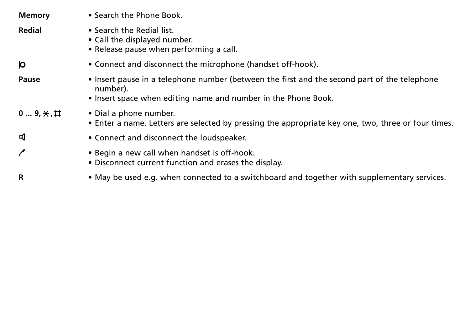| <b>Memory</b>       | • Search the Phone Book.                                                                                                                                                   |
|---------------------|----------------------------------------------------------------------------------------------------------------------------------------------------------------------------|
| Redial              | • Search the Redial list.<br>• Call the displayed number.<br>• Release pause when performing a call.                                                                       |
| Ю                   | • Connect and disconnect the microphone (handset off-hook).                                                                                                                |
| <b>Pause</b>        | • Insert pause in a telephone number (between the first and the second part of the telephone<br>number).<br>• Insert space when editing name and number in the Phone Book. |
| 0 $9, *$ , $\sharp$ | • Dial a phone number.<br>• Enter a name. Letters are selected by pressing the appropriate key one, two, three or four times.                                              |
| ю                   | • Connect and disconnect the loudspeaker.                                                                                                                                  |
|                     | • Begin a new call when handset is off-hook.<br>• Disconnect current function and erases the display.                                                                      |
| R                   | • May be used e.g. when connected to a switchboard and together with supplementary services.                                                                               |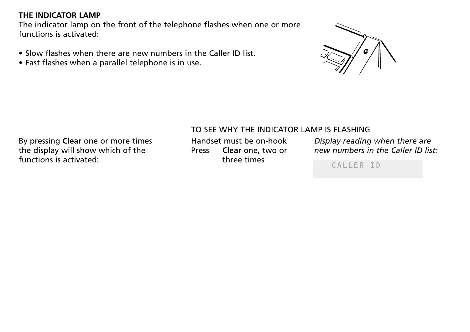### **THE INDICATOR LAMP**

The indicator lamp on the front of the telephone flashes when one or more functions is activated:

- Slow flashes when there are new numbers in the Caller ID list.
- Fast flashes when a parallel telephone is in use.



# TO SEE WHY THE INDICATOR LAMP IS FLASHING

By pressing **Clear** one or more times the display will show which of the functions is activated:

Handset must be on-hook Press **Clear** one, two or three times

*Display reading when there are new numbers in the Caller ID list:*

CALLER ID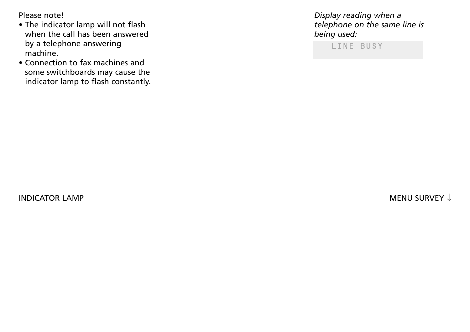Please note!

- The indicator lamp will not flash when the call has been answered by a telephone answering machine.
- Connection to fax machines and some switchboards may cause the indicator lamp to flash constantly.

*Display reading when a telephone on the same line is being used:*

LINE BUSY

 $\blacksquare$ INDICATOR LAMP MENU SURVEY ↓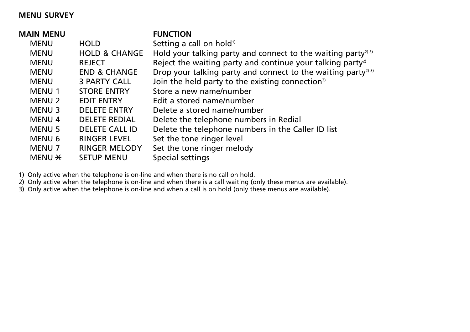#### **MENU SURVEY**

| <b>MAIN MENU</b>  |                          | <b>FUNCTION</b>                                                           |
|-------------------|--------------------------|---------------------------------------------------------------------------|
| <b>MENU</b>       | <b>HOLD</b>              | Setting a call on hold <sup>1)</sup>                                      |
| <b>MENU</b>       | <b>HOLD &amp; CHANGE</b> | Hold your talking party and connect to the waiting party <sup>23</sup>    |
| <b>MENU</b>       | <b>REJECT</b>            | Reject the waiting party and continue your talking party <sup>2)</sup>    |
| <b>MENU</b>       | <b>END &amp; CHANGE</b>  | Drop your talking party and connect to the waiting party <sup>2) 3)</sup> |
| <b>MENU</b>       | 3 PARTY CALL             | Join the held party to the existing connection <sup>3)</sup>              |
| <b>MENU1</b>      | <b>STORE ENTRY</b>       | Store a new name/number                                                   |
| <b>MENU 2</b>     | <b>EDIT ENTRY</b>        | Edit a stored name/number                                                 |
| <b>MENU3</b>      | <b>DELETE ENTRY</b>      | Delete a stored name/number                                               |
| <b>MENU4</b>      | <b>DELETE REDIAL</b>     | Delete the telephone numbers in Redial                                    |
| <b>MENU 5</b>     | DELETE CALL ID           | Delete the telephone numbers in the Caller ID list                        |
| MENU 6            | <b>RINGER LEVEL</b>      | Set the tone ringer level                                                 |
| <b>MENU 7</b>     | <b>RINGER MELODY</b>     | Set the tone ringer melody                                                |
| MENU <del>X</del> | <b>SETUP MENU</b>        | Special settings                                                          |
|                   |                          |                                                                           |

1) Only active when the telephone is on-line and when there is no call on hold.

2) Only active when the telephone is on-line and when there is a call waiting (only these menus are available).

3) Only active when the telephone is on-line and when a call is on hold (only these menus are available).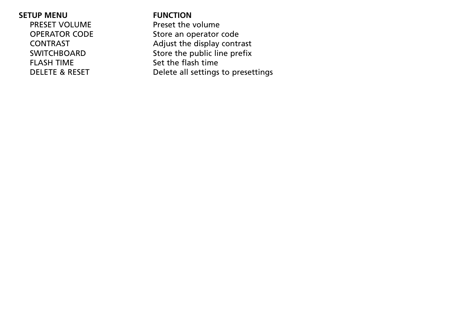**SETUP MENU**<br>PRESET VOLUME Preset the FLASH TIME<br>DELETE & RESET Delete all settings

PRESET VOLUME Preset the volume<br>OPERATOR CODE Store an operator Store an operator code CONTRAST CONTRAST CONTRAST CONTRAST CONTRAST CONTRAST CONTRAST Adjust the display contrast Store the public line prefix Delete all settings to presettings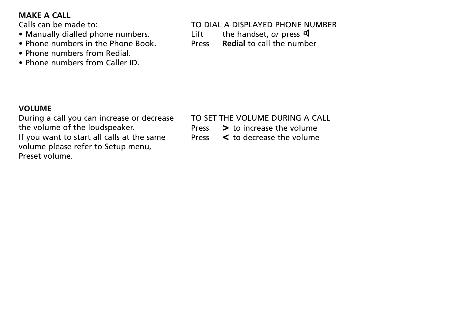### **MAKE A CALL**

Calls can be made to:

- Manually dialled phone numbers.
- Phone numbers in the Phone Book.
- Phone numbers from Redial.
- Phone numbers from Caller ID.

# TO DIAL A DISPLAYED PHONE NUMBER

Lift the handset, *or* press **q** 

Press **Redial** to call the number

# **VOLUME**

During a call you can increase or decrease the volume of the loudspeaker. If you want to start all calls at the same volume please refer to Setup menu, Preset volume.

#### TO SET THE VOLUME DURING A CALL

- Press **>** to increase the volume
- Press **<** to decrease the volume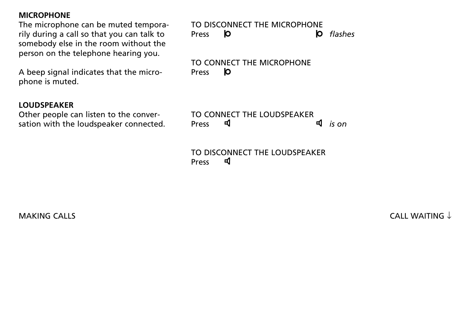#### **MICROPHONE**

The microphone can be muted temporarily during a call so that you can talk to somebody else in the room without the person on the telephone hearing you.

A beep signal indicates that the microphone is muted.

#### **LOUDSPEAKER**

Other people can listen to the conversation with the loudspeaker connected.

*flashes* TO DISCONNECT THE MICROPHONE<br>Press **D** Press

TO CONNECT THE MICROPHONE Press  $\mathsf{I}$ 

TO CONNECT THE LOUDSPEAKER<br>Press **q** Press *is on*

TO DISCONNECT THE LOUDSPEAKER ◀ Press

MAKING CALLS  $\qquad \qquad \qquad \qquad \qquad \qquad \text{CALWATING } \downarrow$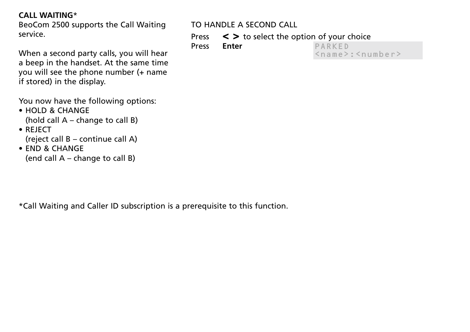## **CALL WAITING**\*

BeoCom 2500 supports the Call Waiting service.

When a second party calls, you will hear a beep in the handset. At the same time you will see the phone number (+ name if stored) in the display.

You now have the following options:

- HOLD & CHANGE (hold call A – change to call B)
- REJECT (reject call B – continue call A)
- END & CHANGE (end call A – change to call B)

# TO HANDLE A SECOND CALL

Press **< >** to select the option of your choice

Press **Enter**

PARKED <name>:<number>

\*Call Waiting and Caller ID subscription is a prerequisite to this function.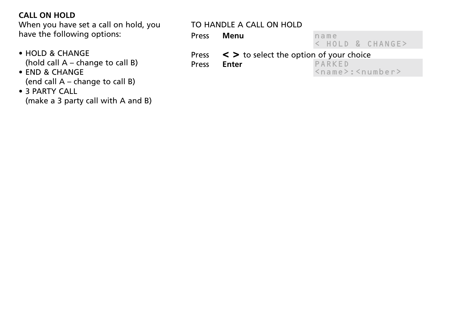# **CALL ON HOLD**

When you have set a call on hold, you have the following options:

- HOLD & CHANGE (hold call A – change to call B)
- END & CHANGE (end call A – change to call B)
- 3 PARTY CALL (make a 3 party call with A and B)

# TO HANDLE A CALL ON HOLD

name Press **Menu**

< HOLD & CHANGE>

**Press** < > **to select the option of your choice**<br>Press Enter PARKED

**Enter** 

PARKED <name>:<number>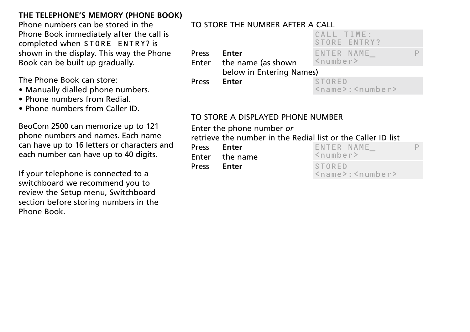# **THE TELEPHONE'S MEMORY (PHONE BOOK)**

Phone numbers can be stored in the Phone Book immediately after the call is completed when STORE ENTRY? is shown in the display. This way the Phone Book can be built up gradually.

The Phone Book can store:

- Manually dialled phone numbers.
- Phone numbers from Redial.
- Phone numbers from Caller ID.

BeoCom 2500 can memorize up to 121 phone numbers and names. Each name can have up to 16 letters or characters and each number can have up to 40 digits.

If your telephone is connected to a switchboard we recommend you to review the Setup menu, Switchboard section before storing numbers in the Phone Book.

# TO STORE THE NUMBER AFTER A CALL

|              |                                   | CALL TIME:<br>STORE ENTRY?                                             |   |
|--------------|-----------------------------------|------------------------------------------------------------------------|---|
| <b>Press</b> | Enter<br>Enter the name (as shown | ENTER NAME<br>$\leq$ number>                                           | Þ |
|              | below in Entering Names)          |                                                                        |   |
| <b>Press</b> | Enter                             | <b>STORED</b><br>$\langle$ name $\rangle$ : $\langle$ number $\rangle$ |   |

# TO STORE A DISPLAYED PHONE NUMBER

Enter the phone number *or* 

retrieve the number in the Redial list or the Caller ID list

Press **Enter** Enter the name

Press **Enter**

| ENTER NAME<br>$<$ number>                      |  |
|------------------------------------------------|--|
| <b>STORED</b><br>$<$ name $>$ : $<$ number $>$ |  |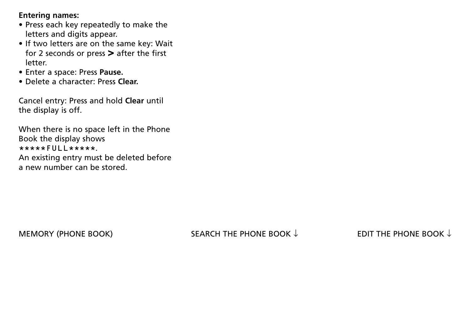#### **Entering names:**

- Press each key repeatedly to make the letters and digits appear.
- If two letters are on the same key: Wait for 2 seconds or press **>** after the first letter.
- Enter a space: Press **Pause.**
- Delete a character: Press **Clear.**

Cancel entry: Press and hold **Clear** until the display is off.

When there is no space left in the Phone Book the display shows \*\*\*\*\*FULL\*\*\*\*\*. An existing entry must be deleted before a new number can be stored.

# MEMORY (PHONE BOOK) SEARCH THE PHONE BOOK  $\downarrow$  EDIT THE PHONE BOOK  $\downarrow$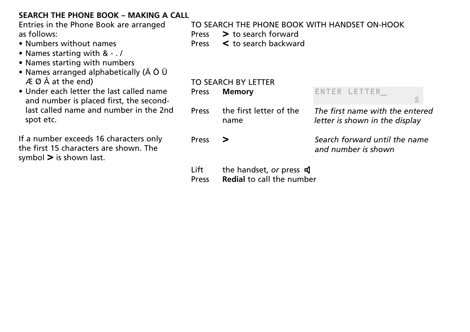# **SEARCH THE PHONE BOOK – MAKING A CALL**

Entries in the Phone Book are arranged as follows:

- Numbers without names
- Names starting with & . /
- Names starting with numbers
- Names arranged alphabetically (Ä Ö Ü  $\overline{A}$  Ø Å at the end)
- Under each letter the last called name and number is placed first, the secondlast called name and number in the 2nd spot etc.

If a number exceeds 16 characters only the first 15 characters are shown. The symbol **>** is shown last.

TO SEARCH THE PHONE BOOK WITH HANDSET ON-HOOK Press **>** to search forward Press **<** to search backward TO SEARCH BY LETTER

|       | TO SLAINCH BILELILIN<br>Press Memory | ENTER LETTER<br>S                                                 |
|-------|--------------------------------------|-------------------------------------------------------------------|
| Press | the first letter of the<br>name      | The first name with the entered<br>letter is shown in the display |
| Press | — >                                  | Search forward until the name<br>and number is shown              |

- Lift the handset, *or* press **q**
- Press **Redial** to call the number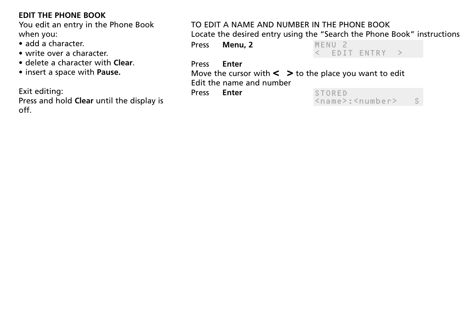# **EDIT THE PHONE BOOK**

You edit an entry in the Phone Book when you:

- add a character.
- write over a character.
- delete a character with **Clear**.
- insert a space with **Pause.**

Exit editing:

Press and hold **Clear** until the display is off.

# TO EDIT A NAME AND NUMBER IN THE PHONE BOOK

Locate the desired entry using the "Search the Phone Book" instructions

Press **Menu, 2**

MENU 2 < EDIT ENTRY >

#### Press **Enter**

Move the cursor with  $\lt$   $\gt$  to the place you want to edit Edit the name and number

Press **Enter**

| <b>STORED</b> |                                                       |  |
|---------------|-------------------------------------------------------|--|
|               | $\langle$ name $\rangle$ : $\langle$ number $\rangle$ |  |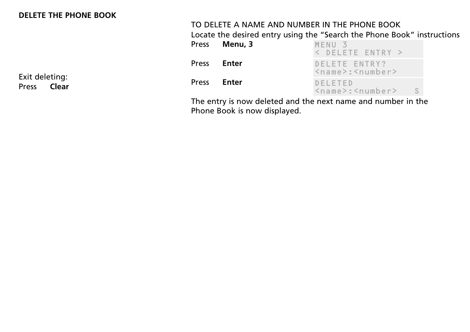#### **DELETE THE PHONE BOOK**

Exit deleting:<br>Press **Clear Clear** 

# TO DELETE A NAME AND NUMBER IN THE PHONE BOOK

Locate the desired entry using the "Search the Phone Book" instructions

|       | Press Menu, 3 | MENU <sub>3</sub><br>$\leq$ DELETE ENTRY $\geq$                        |
|-------|---------------|------------------------------------------------------------------------|
| Press | Enter         | DELETE ENTRY?<br>$\langle$ name $\rangle$ : $\langle$ number $\rangle$ |
| Press | Enter         | DELETED<br>$\langle$ name $\rangle$ : $\langle$ number $\rangle$<br>S. |

The entry is now deleted and the next name and number in the Phone Book is now displayed.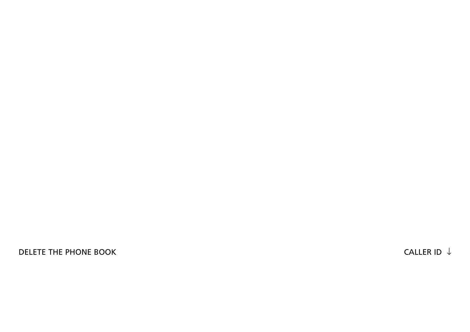DELETE THE PHONE BOOK  $\downarrow$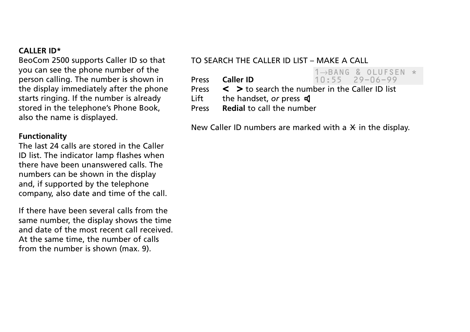#### **CALLER ID\***

BeoCom 2500 supports Caller ID so that you can see the phone number of the person calling. The number is shown in the display immediately after the phone starts ringing. If the number is already stored in the telephone's Phone Book, also the name is displayed.

#### **Functionality**

The last 24 calls are stored in the Caller ID list. The indicator lamp flashes when there have been unanswered calls. The numbers can be shown in the display and, if supported by the telephone company, also date and time of the call.

If there have been several calls from the same number, the display shows the time and date of the most recent call received. At the same time, the number of calls from the number is shown (max. 9).

### TO SEARCH THE CALLER ID LIST – MAKE A CALL

1→BANG & OLUFSEN \* **Press Caller ID** 10:55 29-06-99

Press **< >** to search the number in the Caller ID list

Lift the handset, *or* press **q** 

Press **Redial** to call the number

New Caller ID numbers are marked with a  $\star$  in the display.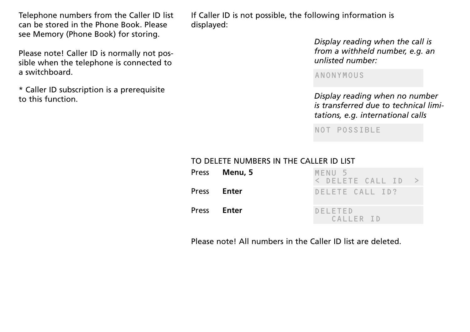Telephone numbers from the Caller ID list can be stored in the Phone Book. Please see Memory (Phone Book) for storing.

Please note! Caller ID is normally not possible when the telephone is connected to a switchboard.

\* Caller ID subscription is a prerequisite to this function. *Display reading when no number*

If Caller ID is not possible, the following information is displayed:

> *Display reading when the call is from a withheld number, e.g. an unlisted number:*

ANONYMOUS

*is transferred due to technical limitations, e.g. international calls*

NOT POSSIBLE

#### TO DELETE NUMBERS IN THE CALLER ID LIST

|              | Press <b>Menu, 5</b> | MENU <sub>5</sub><br>< DELETE CALL ID > |
|--------------|----------------------|-----------------------------------------|
| <b>Press</b> | Enter                | DELETE CALL ID?                         |
| <b>Press</b> | Enter                | <b>DELETED</b><br>CALLER ID             |

Please note! All numbers in the Caller ID list are deleted.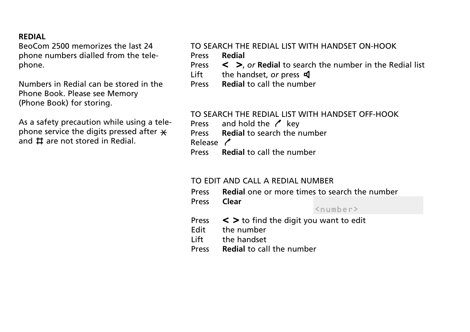#### **REDIAL**

BeoCom 2500 memorizes the last 24 phone numbers dialled from the telephone.

Numbers in Redial can be stored in the Phone Book. Please see Memory (Phone Book) for storing.

As a safety precaution while using a telephone service the digits pressed after  $\bm{\times}$ and  $\pm$  are not stored in Redial.

# TO SEARCH THE REDIAL LIST WITH HANDSET ON-HOOK

- Press **Redial**
- Press **< >**, *or* **Redial** to search the number in the Redial list
	- the handset, *or* press **q**
- Press **Redial** to call the number

#### TO SEARCH THE REDIAL LIST WITH HANDSET OFF-HOOK

- Press and hold the  $\prime$  key
- Press **Redial** to search the number

Release /

Press **Clear**

Press **Redial** to call the number

#### TO EDIT AND CALL A REDIAL NUMBER

Press **Redial** one or more times to search the number

 $<$ number>

- Press **< >** to find the digit you want to edit
- the number
- Lift the handset
- Press **Redial** to call the number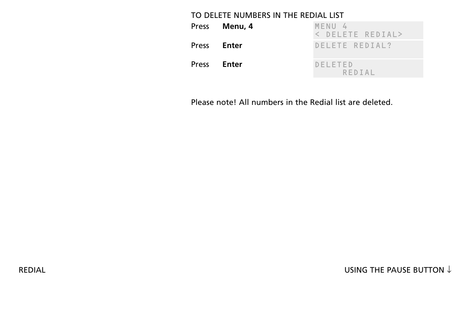#### TO DELETE NUMBERS IN THE REDIAL LIST

|              | Press Menu, 4 | MENU 4<br>< DELETE REDIAL> |
|--------------|---------------|----------------------------|
| Press        | Enter         | DELETE REDIAL?             |
| <b>Press</b> | Enter         | DELETED<br>REDIAL          |

Please note! All numbers in the Redial list are deleted.

REDIAL REDIAL REDIAL REDIAL USING THE PAUSE BUTTON  $\downarrow$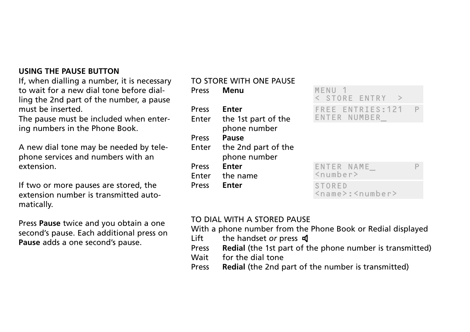## **USING THE PAUSE BUTTON**

If, when dialling a number, it is necessary to wait for a new dial tone before dialling the 2nd part of the number, a pause must be inserted.

The pause must be included when entering numbers in the Phone Book.

A new dial tone may be needed by telephone services and numbers with an extension.

If two or more pauses are stored, the extension number is transmitted automatically.

Press **Pause** twice and you obtain a one second's pause. Each additional press on **Pause** adds a one second's pause.

#### TO STORE WITH ONE PAUSE

| MENU <sub>1</sub><br>< STORE ENT                 |
|--------------------------------------------------|
| FREE ENTRIE<br>ENTER NUMBE                       |
|                                                  |
| ENTER NAME<br>$\langle$ number><br><b>STORED</b> |
|                                                  |

# < STORE ENTRY >  $S:121$ ENTER NUMBER\_

| ENTER NAME<br>$<$ number>                                       |  |
|-----------------------------------------------------------------|--|
| STORED<br>$\langle$ name $\rangle$ : $\langle$ number $\rangle$ |  |

#### TO DIAL WITH A STORED PAUSE

With a phone number from the Phone Book or Redial displayed

- Lift the handset *or* press **q**
- Press **Redial** (the 1st part of the phone number is transmitted)
- Wait for the dial tone
- Press **Redial** (the 2nd part of the number is transmitted)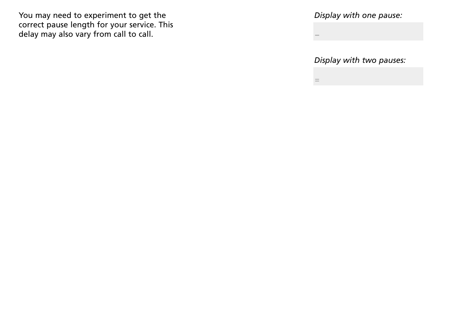You may need to experiment to get the correct pause length for your service. This delay may also vary from call to call.

*Display with one pause:*

*Display with two pauses:*

=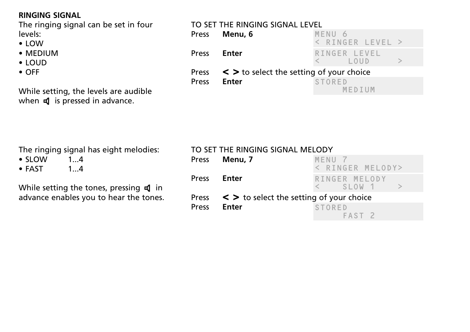# **RINGING SIGNAL**

The ringing signal can be set in four levels:

- LOW
- MEDIUM
- LOUD
- OFF

While setting, the levels are audible when  $\triangleleft$  is pressed in advance.

# TO SET THE RINGING SIGNAL LEVEL

|       | Press Menu, 6                                      | MENU <sub>6</sub>                                                                                                                                                                                                                                                                                                                                         |  |
|-------|----------------------------------------------------|-----------------------------------------------------------------------------------------------------------------------------------------------------------------------------------------------------------------------------------------------------------------------------------------------------------------------------------------------------------|--|
|       |                                                    | $\langle$ RINGER LEVEL $\rangle$                                                                                                                                                                                                                                                                                                                          |  |
|       | Press <b>Enter</b>                                 | RINGER LEVEL<br>$\lt$ $\qquad$ $\qquad$ $\qquad$ $\qquad$ $\qquad$ $\qquad$ $\qquad$ $\qquad$ $\qquad$ $\qquad$ $\qquad$ $\qquad$ $\qquad$ $\qquad$ $\qquad$ $\qquad$ $\qquad$ $\qquad$ $\qquad$ $\qquad$ $\qquad$ $\qquad$ $\qquad$ $\qquad$ $\qquad$ $\qquad$ $\qquad$ $\qquad$ $\qquad$ $\qquad$ $\qquad$ $\qquad$ $\qquad$ $\qquad$ $\qquad$ $\qquad$ |  |
|       | Press $\lt$ > to select the setting of your choice |                                                                                                                                                                                                                                                                                                                                                           |  |
| Press | Enter                                              | STORED<br>MFDIUM                                                                                                                                                                                                                                                                                                                                          |  |

|  |  | The ringing signal has eight melodies: |
|--|--|----------------------------------------|
|  |  |                                        |

- SLOW 1...4<br>• FAST 1...4
- $\bullet$  FAST

While setting the tones, pressing  $\triangleleft$  in advance enables you to hear the tones.

# TO SET THE RINGING SIGNAL MELODY

| Press Menu, 7                                       | MFNU 7            |
|-----------------------------------------------------|-------------------|
|                                                     | < RINGER MELODY>  |
| Press <b>Enter</b>                                  | RINGER MELODY     |
|                                                     | $\lt$ SIOW 1 >    |
| Press $\leq$ > to select the setting of your choice |                   |
| Press <b>Enter</b>                                  | <b>STORED</b>     |
|                                                     | FAST <sub>2</sub> |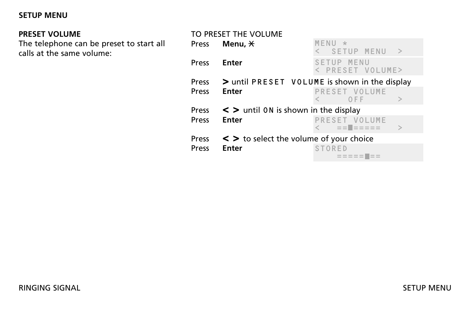### **SETUP MENU**

# **PRESET VOLUME**

The telephone can be preset to start all calls at the same volume:

|              | TO PRESET THE VOLUME                           |                                          |  |
|--------------|------------------------------------------------|------------------------------------------|--|
| Press        | Menu, $\star$                                  | MENU<br>SETUP MENU<br>$\rightarrow$      |  |
| Press        | Enter                                          | MENU<br><b>SETUP</b><br>< PRESET VOLUME> |  |
| <b>Press</b> | > until PRESET VOLUME is shown in the display  |                                          |  |
| Press        | <b>Enter</b>                                   | PRESET VOLUME                            |  |
|              |                                                | OFF                                      |  |
|              | Press $\lt$ > until 0N is shown in the display |                                          |  |
| Press        | <b>Enter</b>                                   | PRESET VOLUME                            |  |
| <b>Press</b> | < > to select the volume of your choice        |                                          |  |
| Press        | <b>Enter</b>                                   | STORFD                                   |  |
|              |                                                | $= 22222$                                |  |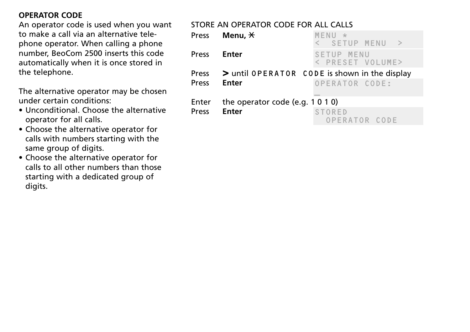# **OPERATOR CODE**

An operator code is used when you want to make a call via an alternative telephone operator. When calling a phone number, BeoCom 2500 inserts this code automatically when it is once stored in the telephone.

The alternative operator may be chosen under certain conditions:

- Unconditional. Choose the alternative operator for all calls.
- Choose the alternative operator for calls with numbers starting with the same group of digits.
- Choose the alternative operator for calls to all other numbers than those starting with a dedicated group of digits.

# STORE AN OPERATOR CODE FOR ALL CALLS

| Press          | Menu, $\star$                                    | MENU<br>大<br>< SETUP MENU >                                             |
|----------------|--------------------------------------------------|-------------------------------------------------------------------------|
| Press          | Enter                                            | SETUP MENU<br>< PRESET VOLUME>                                          |
| Press          | Enter                                            | Press $>$ until OPERATOR CODE is shown in the display<br>OPERATOR CODE: |
| Enter<br>Press | the operator code (e.g. $1010$ )<br><b>Enter</b> | <b>STORED</b><br>OPERATOR CODE                                          |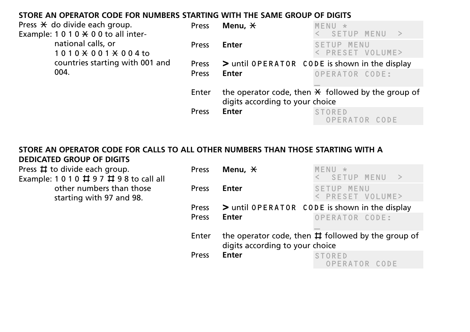### **STORE AN OPERATOR CODE FOR NUMBERS STARTING WITH THE SAME GROUP OF DIGITS**

| Press $\star$ do divide each group.         | <b>Press</b> | Menu, *                         | $MENU \star$                                              |
|---------------------------------------------|--------------|---------------------------------|-----------------------------------------------------------|
| Example: $1010 \times 00$ to all inter-     |              |                                 | SETUP MENU                                                |
| national calls, or<br>$1010 * 001 * 004$ to | <b>Press</b> | Enter                           | SETUP MENU<br>< PRESET VOLUME>                            |
| countries starting with 001 and             | <b>Press</b> |                                 | > until OPERATOR CODE is shown in the display             |
| 004.                                        | Press        | Enter                           | OPERATOR CODE:                                            |
|                                             | Enter        | digits according to your choice | the operator code, then $\angle$ followed by the group of |
|                                             | <b>Press</b> | <b>Enter</b>                    | STORED<br>OPERATOR CODE                                   |

#### **STORE AN OPERATOR CODE FOR CALLS TO ALL OTHER NUMBERS THAN THOSE STARTING WITH A DEDICATED GROUP OF DIGITS**

Press  $\sharp$  to divide each group. Example: 1 0 1 0  $\#$  9 7  $\#$  9 8 to call all

> other numbers than those starting with 97 and 98.

| Press | Menu. $\forall$                 | $M \vdash N \sqcup$<br>< SETUP MENU<br>$\rightarrow$      |
|-------|---------------------------------|-----------------------------------------------------------|
| Press | Enter                           | SETUP MENU<br>< PRESET VOLUME>                            |
| Press |                                 | > until OPERATOR CODE is shown in the display             |
| Press | Enter                           | OPERATOR CODE:                                            |
| Enter | digits according to your choice | the operator code, then $\sharp$ followed by the group of |
| Press | Enter                           | STORFD<br>OPERATOR CODE                                   |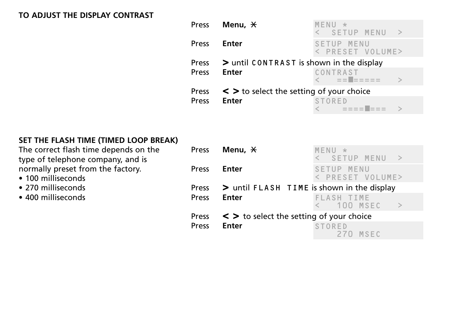#### **TO ADJUST THE DISPLAY CONTRAST**

| Press        | Menu, $\,\mathsf{\not\!{H}}$                       | $MFNU \star$<br>< SETUP MENU<br>$\rightarrow$ |
|--------------|----------------------------------------------------|-----------------------------------------------|
| <b>Press</b> | Enter                                              | SETUP MENU<br>< PRESET VOLUME>                |
| <b>Press</b> | > until CONTRAST is shown in the display           |                                               |
| Press        | Enter                                              | CONTRAST<br>< == == ====                      |
|              | Press $\lt$ > to select the setting of your choice |                                               |
| Press        | Enter                                              | STORED<br>- = = = = <b>=</b> = = =            |

# **SET THE FLASH TIME (TIMED LOOP BREAK)**

The correct flash time depends on the type of telephone company, and is normally preset from the factory.

- 100 milliseconds
- 270 milliseconds
- 400 milliseconds

| Press | Menu. $\forall$                                    | MENU<br>大<br>< SETUP MENU >                 |
|-------|----------------------------------------------------|---------------------------------------------|
| Press | Enter                                              | SETUP MENU<br>< PRESET VOLUME>              |
|       | Press $>$ until FLASH TIME is shown in the display |                                             |
| Press | Enter                                              | <b>FLASH TIME</b><br>$\leq$ 100 MSEC<br>- > |
|       | Press $\lt$ > to select the setting of your choice |                                             |
| Press | <b>Enter</b>                                       | <b>STORED</b><br>270 MSEC                   |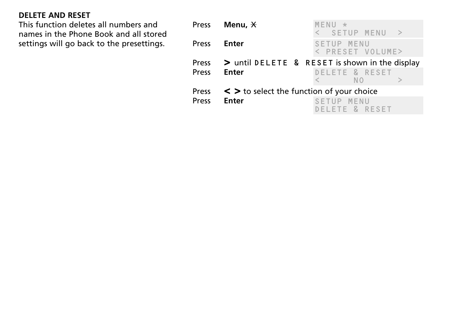# **DELETE AND RESET**

This function deletes all numbers and names in the Phone Book and all stored settings will go back to the presettings.

|       | Press <b>Menu, *</b>                                            | MENU<br>- 大 | < SETUP MENU >   |  |
|-------|-----------------------------------------------------------------|-------------|------------------|--|
| Press | Enter                                                           | SETUP MENU  | < PRESET VOLUME> |  |
| Press | Press $>$ until DELETE & RESET is shown in the display<br>Enter |             | DELETE & RESET   |  |
|       |                                                                 |             | N <sub>O</sub>   |  |
|       | Press $\lt$ > to select the function of your choice             |             |                  |  |
| Press | <b>Enter</b>                                                    | SETUP MENU  | DELETE & RESET   |  |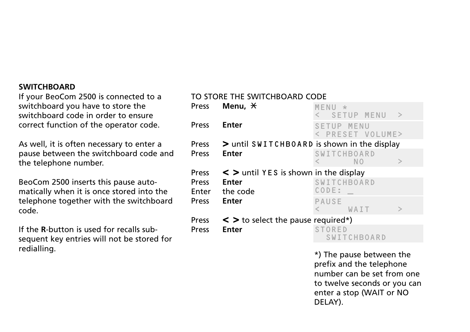#### **SWITCHBOARD**

If your BeoCom 2500 is connected to a switchboard you have to store the switchboard code in order to ensure correct function of the operator code.

As well, it is often necessary to enter a pause between the switchboard code and the telephone number.

BeoCom 2500 inserts this pause automatically when it is once stored into the telephone together with the switchboard code.

If the **R**-button is used for recalls subsequent key entries will not be stored for redialling.

#### TO STORE THE SWITCHBOARD CODE

| Press          | Menu, $\star$                               | MENII<br>$\star$<br>SETUP MENU      |  |
|----------------|---------------------------------------------|-------------------------------------|--|
| Press          | <b>Enter</b>                                | SETUP MENU<br>< PRESET VOLUME>      |  |
| Press          | > until SWITCHBOARD is shown in the display |                                     |  |
| Press          | <b>Enter</b>                                | <b>SWITCHBOARD</b><br>N O           |  |
| Press          | $\leq$ > until YES is shown in the display  |                                     |  |
| Press<br>Enter | Enter<br>the code                           | SWITCHBOARD<br>CODE:                |  |
| Press          | <b>Enter</b>                                | <b>PAUSE</b><br>WAIT                |  |
| Press          | $\leq$ > to select the pause required*)     |                                     |  |
| Press          | <b>Enter</b>                                | <b>STORED</b><br><b>SWITCHBOARD</b> |  |

\*) The pause between the prefix and the telephone number can be set from one to twelve seconds or you can enter a stop (WAIT or NO DELAY).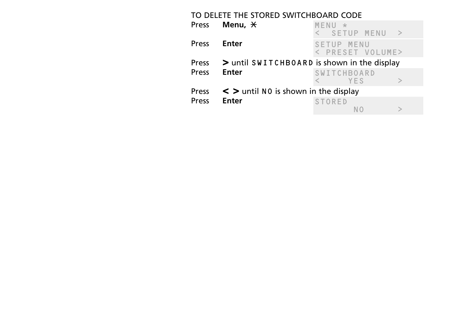| TO DELETE THE STORED SWITCHBOARD CODE |                                             |                                |                             |  |
|---------------------------------------|---------------------------------------------|--------------------------------|-----------------------------|--|
| <b>Press</b>                          | Menu, $\star$                               | MENII<br>*<br>< SETUP MENU     | $\rightarrow$               |  |
| Press                                 | Enter                                       | SETUP MENU<br>< PRESET VOLUME> |                             |  |
| <b>Press</b>                          | > until SWITCHBOARD is shown in the display |                                |                             |  |
| Press                                 | Enter                                       | <b>SWITCHBOARD</b>             |                             |  |
|                                       |                                             | YFS                            | $\scriptscriptstyle\diagup$ |  |
| <b>Press</b>                          | $\leq$ > until NO is shown in the display   |                                |                             |  |
| Press                                 | <b>Enter</b>                                | <b>STORED</b>                  |                             |  |
|                                       |                                             |                                |                             |  |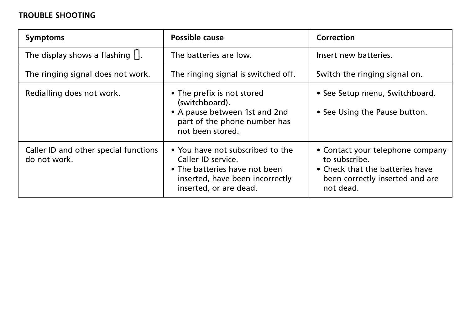# **TROUBLE SHOOTING**

| <b>Symptoms</b>                                       | Possible cause                                                                                                                                       | Correction                                                                                                                           |
|-------------------------------------------------------|------------------------------------------------------------------------------------------------------------------------------------------------------|--------------------------------------------------------------------------------------------------------------------------------------|
| The display shows a flashing $\prod$ .                | The batteries are low.                                                                                                                               | Insert new batteries.                                                                                                                |
| The ringing signal does not work.                     | The ringing signal is switched off.                                                                                                                  | Switch the ringing signal on.                                                                                                        |
| Redialling does not work.                             | • The prefix is not stored<br>(switchboard).<br>• A pause between 1st and 2nd<br>part of the phone number has<br>not been stored.                    | • See Setup menu, Switchboard.<br>• See Using the Pause button.                                                                      |
| Caller ID and other special functions<br>do not work. | • You have not subscribed to the<br>Caller ID service.<br>• The batteries have not been<br>inserted, have been incorrectly<br>inserted, or are dead. | • Contact your telephone company<br>to subscribe.<br>• Check that the batteries have<br>been correctly inserted and are<br>not dead. |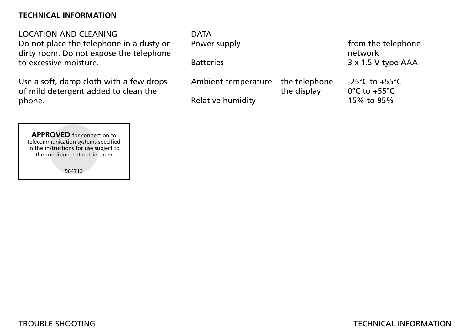#### **TECHNICAL INFORMATION**

LOCATION AND CLEANING Do not place the telephone in a dusty or

dirty room. Do not expose the telephone to excessive moisture.

Use a soft, damp cloth with a few drops of mild detergent added to clean the phone.

DATA Power supply **From** the telephone network Batteries 3 x 1.5 V type AAA Ambient temperature the telephone -25°C to +55°C the display 0°C to +55°C Relative humidity 15% to 95%

**ROVED** for connect<br>
munication systems sp<br>
nstructions for use subconditions set out in t<br>
504713 **APPROVED** for connection to telecommunication systems specified in the instructions for use subject to the conditions set out in them

504713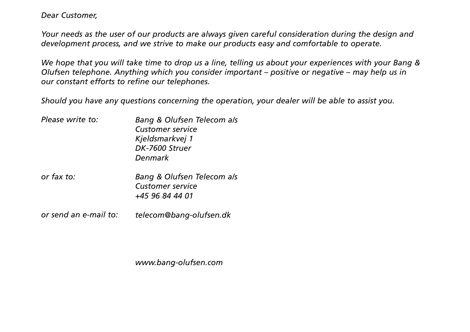*Dear Customer,*

*Your needs as the user of our products are always given careful consideration during the design and development process, and we strive to make our products easy and comfortable to operate.* 

*We hope that you will take time to drop us a line, telling us about your experiences with your Bang & Olufsen telephone. Anything which you consider important – positive or negative – may help us in our constant efforts to refine our telephones.*

*Should you have any questions concerning the operation, your dealer will be able to assist you.*

| Please write to: | Bang & Olufsen Telecom als<br><b>Customer service</b><br>Kjeldsmarkvej 1<br>DK-7600 Struer<br>Denmark |
|------------------|-------------------------------------------------------------------------------------------------------|
| or fax to:       | Bang & Olufsen Telecom als<br><b>Customer service</b><br>+45 96 84 44 01                              |

*or send an e-mail to: telecom@bang-olufsen.dk*

*www.bang-olufsen.com*